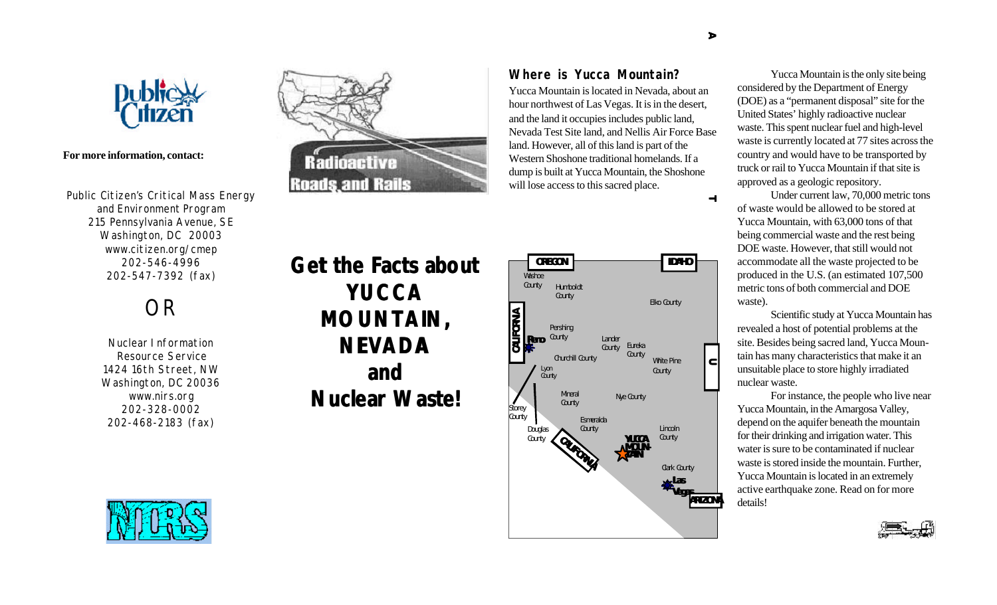

### **For more information, contact:**

Public Citizen's Critical Mass Energy and Environment Program 215 Pennsylvania Avenue, SE Washington, DC 20003 www.citizen.org/cmep 202-546-4996 202-547-7392 (fax)

# OR

Nuclear Information Resource Service 1424 16th Street, NW Washington, DC 20036 www.nirs.org 202-328-0002 202-468-2183 (fax)



Radioactive

**Roads and Rails** 



Yucca Mountain is located in Nevada, about an hour northwest of Las Vegas. It is in the desert, and the land it occupies includes public land, Nevada Test Site land, and Nellis Air Force Base land. However, all of this land is part of the Western Shoshone traditional homelands. If a dump is built at Yucca Mountain, the Shoshone

will lose access to this sacred place.

**Where is Yucca Mountain?** Yucca Mountain is the only site being considered by the Department of Energy (DOE) as a "permanent disposal" site for the United States' highly radioactive nuclear waste. This spent nuclear fuel and high-level waste is currently located at 77 sites across the country and would have to be transported by truck or rail to Yucca Mountain if that site is approved as a geologic repository.

> Under current law, 70,000 metric tons of waste would be allowed to be stored at Yucca Mountain, with 63,000 tons of that being commercial waste and the rest being DOE waste. However, that still would not accommodate all the waste projected to be produced in the U.S. (an estimated 107,500 metric tons of both commercial and DOE waste).

Scientific study at Yucca Mountain has revealed a host of potential problems at the site. Besides being sacred land, Yucca Mountain has many characteristics that make it an unsuitable place to store highly irradiated nuclear waste.

For instance, the people who live near Yucca Mountain, in the Amargosa Valley, depend on the aquifer beneath the mountain for their drinking and irrigation water. This water is sure to be contaminated if nuclear waste is stored inside the mountain. Further, Yucca Mountain is located in an extremely active earthquake zone. Read on for more details!





 $\rightarrow$